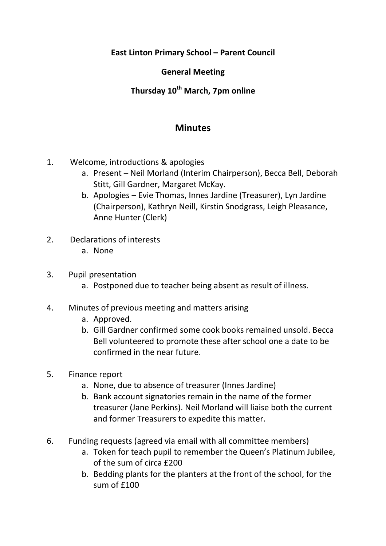**East Linton Primary School – Parent Council**

### **General Meeting**

# **Thursday 10th March, 7pm online**

## **Minutes**

- 1. Welcome, introductions & apologies
	- a. Present Neil Morland (Interim Chairperson), Becca Bell, Deborah Stitt, Gill Gardner, Margaret McKay.
	- b. Apologies Evie Thomas, Innes Jardine (Treasurer), Lyn Jardine (Chairperson), Kathryn Neill, Kirstin Snodgrass, Leigh Pleasance, Anne Hunter (Clerk)
- 2. Declarations of interests
	- a. None
- 3. Pupil presentation
	- a. Postponed due to teacher being absent as result of illness.
- 4. Minutes of previous meeting and matters arising
	- a. Approved.
	- b. Gill Gardner confirmed some cook books remained unsold. Becca Bell volunteered to promote these after school one a date to be confirmed in the near future.
- 5. Finance report
	- a. None, due to absence of treasurer (Innes Jardine)
	- b. Bank account signatories remain in the name of the former treasurer (Jane Perkins). Neil Morland will liaise both the current and former Treasurers to expedite this matter.
- 6. Funding requests (agreed via email with all committee members)
	- a. Token for teach pupil to remember the Queen's Platinum Jubilee, of the sum of circa £200
	- b. Bedding plants for the planters at the front of the school, for the sum of £100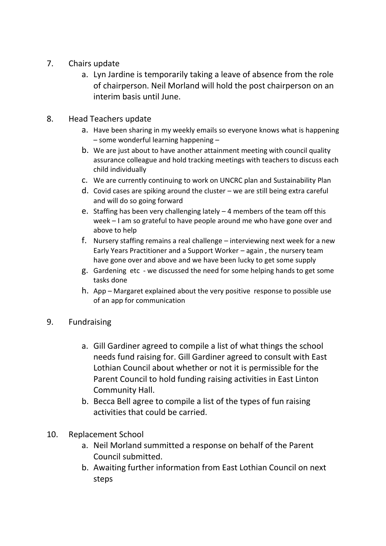- 7. Chairs update
	- a. Lyn Jardine is temporarily taking a leave of absence from the role of chairperson. Neil Morland will hold the post chairperson on an interim basis until June.

### 8. Head Teachers update

- a. Have been sharing in my weekly emails so everyone knows what is happening – some wonderful learning happening –
- b. We are just about to have another attainment meeting with council quality assurance colleague and hold tracking meetings with teachers to discuss each child individually
- c. We are currently continuing to work on UNCRC plan and Sustainability Plan
- d. Covid cases are spiking around the cluster we are still being extra careful and will do so going forward
- e. Staffing has been very challenging lately 4 members of the team off this week – I am so grateful to have people around me who have gone over and above to help
- f. Nursery staffing remains a real challenge interviewing next week for a new Early Years Practitioner and a Support Worker – again , the nursery team have gone over and above and we have been lucky to get some supply
- g. Gardening etc we discussed the need for some helping hands to get some tasks done
- h. App Margaret explained about the very positive response to possible use of an app for communication
- 9. Fundraising
	- a. Gill Gardiner agreed to compile a list of what things the school needs fund raising for. Gill Gardiner agreed to consult with East Lothian Council about whether or not it is permissible for the Parent Council to hold funding raising activities in East Linton Community Hall.
	- b. Becca Bell agree to compile a list of the types of fun raising activities that could be carried.
- 10. Replacement School
	- a. Neil Morland summitted a response on behalf of the Parent Council submitted.
	- b. Awaiting further information from East Lothian Council on next steps